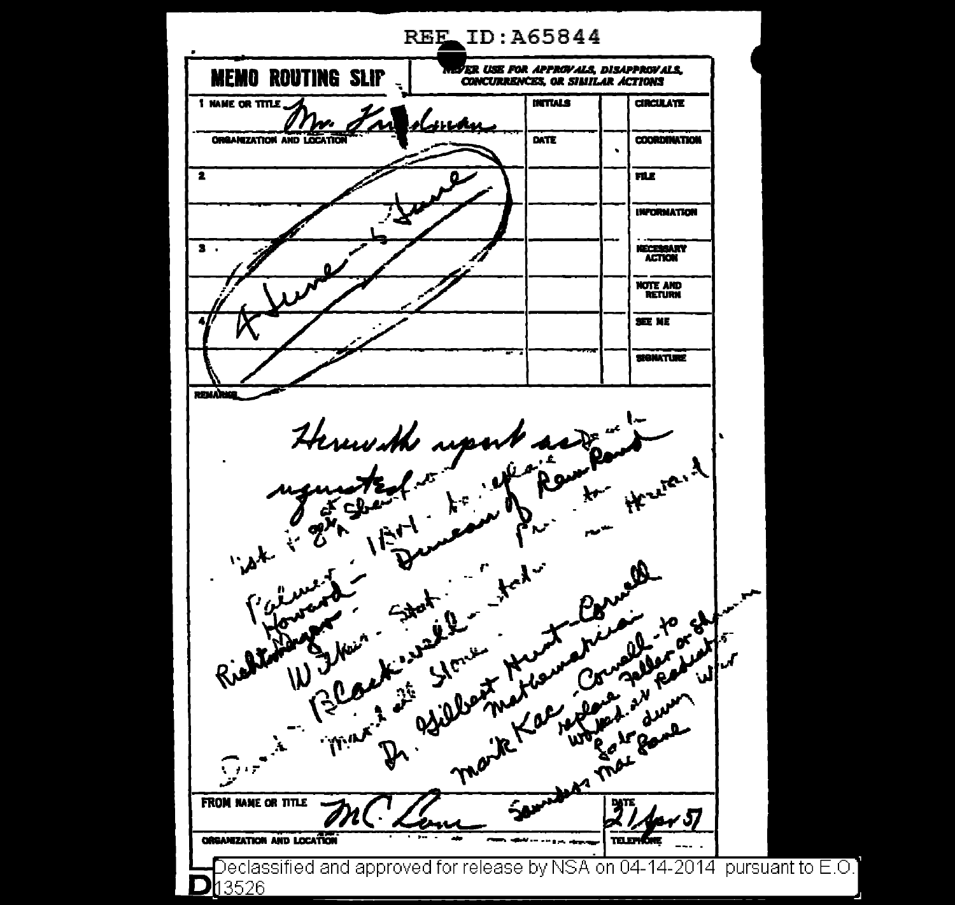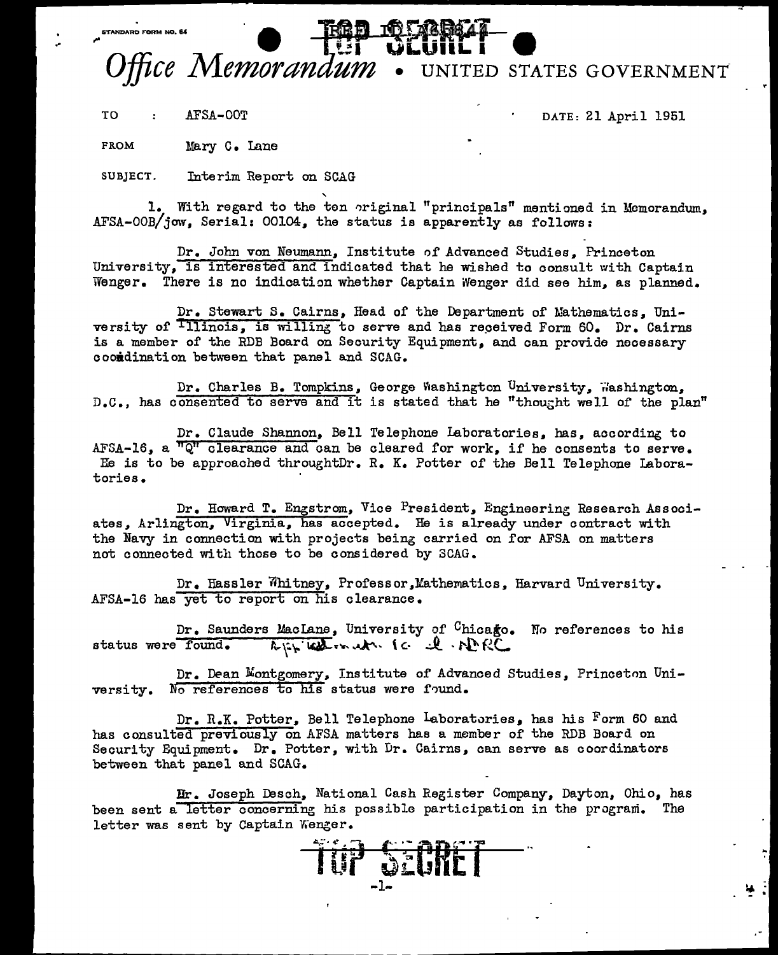## Fice Memorandum . UNITED STATES GOVERNMENT

TO : AFSA-OOT DATE: 21 April 1951

FROM Mary C. Lane

SUBJECT. Interim Report on SCAG

1. With regard to the ten original "principals" mentioned in Memorandum, AFSA-OOB/jow, Serial: 00104, the status is apparently as follows:

Dr. John von Neumann, Institute of Advanced Studies, Princeton University, is interested and indicated that he wished to consult with Captain Wenger. There is no indication whether Captain iVenger did see him, as planned.

Dr. Stewart S. Cairns, Head of the Department of Nathematics, University of  $\overline{111}$ nois, is willing to serve and has received Form 60. Dr. Cairns is a member of the RDB Board on Security Equipment, and can provide necessary cooidination between that panel and SCAG.

Dr. Charles B. Tompkins, George Washington University, washington, D.C., has consented to serve and it is stated that he "thought well of the plan"

Dr. Claude Shannon, Bell Telephone Laboratories, has, according to AFSA-16, a *"ct* clearance and can be cleared for work, if he consents to serve. Re is to be approached throughtDr. R. K. Potter of the Bell Telephone laboratories.

Dr. Haward T. Engstrom, Vice President, Engineering Research Associates, Arlington, Virginia, has accepted. He is already under contract with the Navy in connection with projects being carried on for AFSA on matters not connected with those to be considered by 3CAG.

Dr. Hassler Whitney, Professor,Mathematics, Harvard University. AFSA-16 has yet to report on his clearance.

Dr. Saunders MacLane, University of <sup>C</sup>hicago. No references to his  $s$  tatus were found.  $\qquad k_{\mathfrak{l}\hat{\cdot}\mathfrak{l}}$  in  $\mathfrak{m}\times\mathfrak{l}\subset\mathfrak{l}\cdot\mathfrak{N}\cdot\mathfrak{l}\subset\mathfrak{l}$ 

Dr. Dean Montgomery, Institute of Advanced Studies, Princeton University. No references to his status were found.

Dr. R.K. Potter, Bell Telephone Laboratories, has his Form 60 and has consulted previously on AFSA matters has a member of the RDB Board on Security Equipment. Dr. Potter, with Dr. Cairns, can serve as coordinators between that panel and SCAG.

Ir. Joseph Desch, National Cash Register Company, Dayton, Ohio, has been sent a letter concerning his possible participation in the program. letter was sent by Captain Wenger.

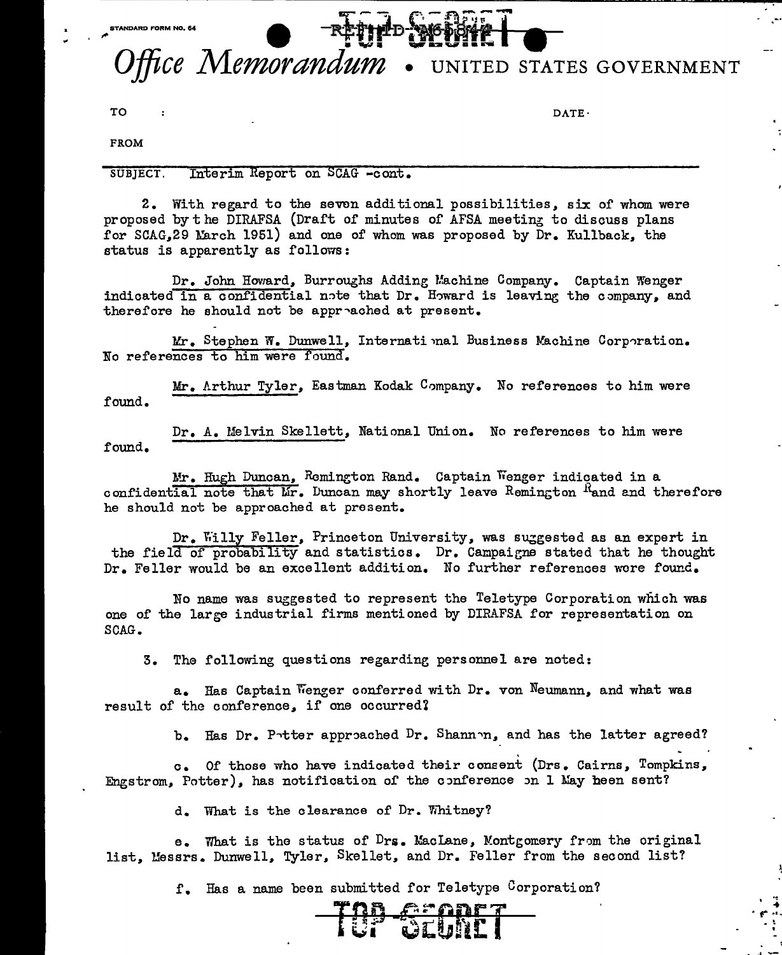**STANDARD FORM NO. 64** 

## Office Memorandum UNITED STATES GOVERNMENT

TO : DATE-

R .. . ,. ...

FROM

SUBJECT. Interim Report on SCAG -cont.

2. With regard to the seven additional possibilities, six of whom were proposed by the DIRAFSA (Draft of minutes of AFSA meeting to discuss plans for SCAG, 29 March 1951) and one of whom was proposed by Dr. Kullback, the status is apparently as follows:

Dr. John Howard, Burroughs Adding Machine Company. Captain Wenger indicated in a confidential note that Dr. Howard is leaving the company, and therefore he should not be approached at present.

Mr. Stephen W. Dunwell, Internati mal Business Machine Corporation. No references to him were found.

Mr. Arthur Tyler, Eastman Kodak Company. No references to him were found.

Dr. A. Melvin Skellett, National Union. No references to him were found.

Mr. Hugh Duncan, Remington Rand. Captain Wenger indicated in a confidential note that  $Mr$ . Duncan may shortly leave Remington  $R$  and and therefore he should not be approached at present.

Dr. Willy Feller, Princeton University, was surgested as an expert in the field of probability and statistics. Dr. Campaigne stated that he thought Dr. Feller would be an excellent addition. No further references were found.

No name was suggested to represent the Teletype Corporation which was one of the large industrial firms mentioned by DIRAFSA for representation on SCAG.

3. The following questions regarding personnel are noted:

a. Has Captain Wenger conferred with Dr. von Neumann, and what was result of the conference, if one occurred?

b. Has Dr. Potter approached Dr. Shannon, and has the latter agreed?

c. Of those who have indicated their consent (Drs. Cairns, Tompkins, Engstrom, Potter), has notification of the conference on l May heen sent?

d. What is the clearance of Dr. Whitney?

e. What is the status of  $Drs$ . MacLane, Montgomery from the original list, llessrs. Dunwell, Tyler, Skellet, and Dr. Feller from the second list?

r. Has a name been submitted for Teletype Corporation?